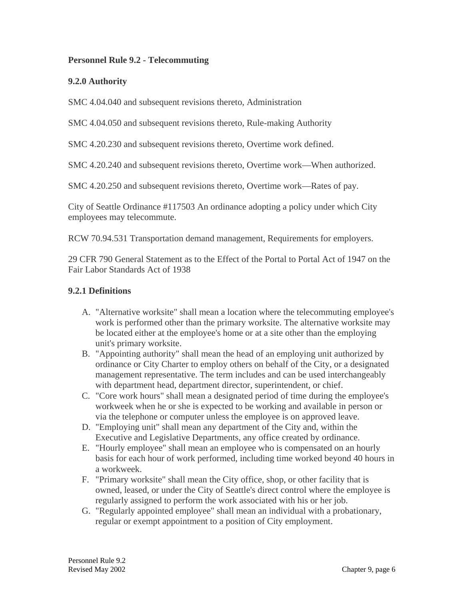### **Personnel Rule 9.2 - Telecommuting**

## **9.2.0 Authority**

SMC 4.04.040 and subsequent revisions thereto, Administration

SMC 4.04.050 and subsequent revisions thereto, Rule-making Authority

SMC 4.20.230 and subsequent revisions thereto, Overtime work defined.

SMC 4.20.240 and subsequent revisions thereto, Overtime work—When authorized.

SMC 4.20.250 and subsequent revisions thereto, Overtime work—Rates of pay.

City of Seattle Ordinance #117503 An ordinance adopting a policy under which City employees may telecommute.

RCW 70.94.531 Transportation demand management, Requirements for employers.

29 CFR 790 General Statement as to the Effect of the Portal to Portal Act of 1947 on the Fair Labor Standards Act of 1938

#### **9.2.1 Definitions**

- A. "Alternative worksite" shall mean a location where the telecommuting employee's work is performed other than the primary worksite. The alternative worksite may be located either at the employee's home or at a site other than the employing unit's primary worksite.
- B. "Appointing authority" shall mean the head of an employing unit authorized by ordinance or City Charter to employ others on behalf of the City, or a designated management representative. The term includes and can be used interchangeably with department head, department director, superintendent, or chief.
- C. "Core work hours" shall mean a designated period of time during the employee's workweek when he or she is expected to be working and available in person or via the telephone or computer unless the employee is on approved leave.
- D. "Employing unit" shall mean any department of the City and, within the Executive and Legislative Departments, any office created by ordinance.
- E. "Hourly employee" shall mean an employee who is compensated on an hourly basis for each hour of work performed, including time worked beyond 40 hours in a workweek.
- F. "Primary worksite" shall mean the City office, shop, or other facility that is owned, leased, or under the City of Seattle's direct control where the employee is regularly assigned to perform the work associated with his or her job.
- G. "Regularly appointed employee" shall mean an individual with a probationary, regular or exempt appointment to a position of City employment.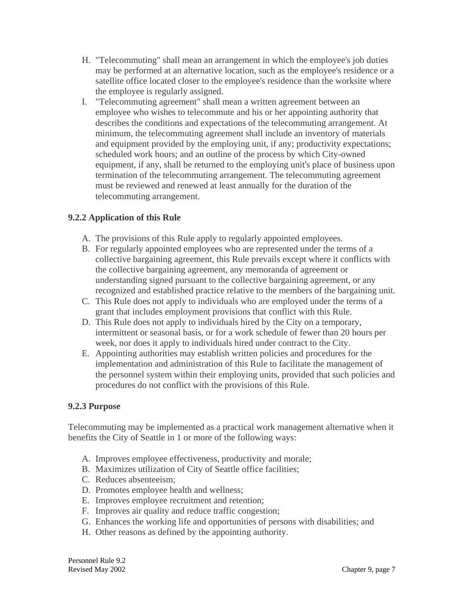- H. "Telecommuting" shall mean an arrangement in which the employee's job duties may be performed at an alternative location, such as the employee's residence or a satellite office located closer to the employee's residence than the worksite where the employee is regularly assigned.
- I. "Telecommuting agreement" shall mean a written agreement between an employee who wishes to telecommute and his or her appointing authority that describes the conditions and expectations of the telecommuting arrangement. At minimum, the telecommuting agreement shall include an inventory of materials and equipment provided by the employing unit, if any; productivity expectations; scheduled work hours; and an outline of the process by which City-owned equipment, if any, shall be returned to the employing unit's place of business upon termination of the telecommuting arrangement. The telecommuting agreement must be reviewed and renewed at least annually for the duration of the telecommuting arrangement.

# **9.2.2 Application of this Rule**

- A. The provisions of this Rule apply to regularly appointed employees.
- B. For regularly appointed employees who are represented under the terms of a collective bargaining agreement, this Rule prevails except where it conflicts with the collective bargaining agreement, any memoranda of agreement or understanding signed pursuant to the collective bargaining agreement, or any recognized and established practice relative to the members of the bargaining unit.
- C. This Rule does not apply to individuals who are employed under the terms of a grant that includes employment provisions that conflict with this Rule.
- D. This Rule does not apply to individuals hired by the City on a temporary, intermittent or seasonal basis, or for a work schedule of fewer than 20 hours per week, nor does it apply to individuals hired under contract to the City.
- E. Appointing authorities may establish written policies and procedures for the implementation and administration of this Rule to facilitate the management of the personnel system within their employing units, provided that such policies and procedures do not conflict with the provisions of this Rule.

#### **9.2.3 Purpose**

Telecommuting may be implemented as a practical work management alternative when it benefits the City of Seattle in 1 or more of the following ways:

- A. Improves employee effectiveness, productivity and morale;
- B. Maximizes utilization of City of Seattle office facilities;
- C. Reduces absenteeism;
- D. Promotes employee health and wellness;
- E. Improves employee recruitment and retention;
- F. Improves air quality and reduce traffic congestion;
- G. Enhances the working life and opportunities of persons with disabilities; and
- H. Other reasons as defined by the appointing authority.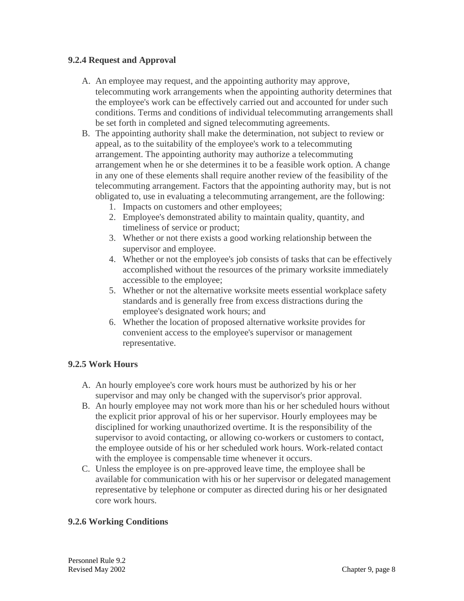### **9.2.4 Request and Approval**

- A. An employee may request, and the appointing authority may approve, telecommuting work arrangements when the appointing authority determines that the employee's work can be effectively carried out and accounted for under such conditions. Terms and conditions of individual telecommuting arrangements shall be set forth in completed and signed telecommuting agreements.
- B. The appointing authority shall make the determination, not subject to review or appeal, as to the suitability of the employee's work to a telecommuting arrangement. The appointing authority may authorize a telecommuting arrangement when he or she determines it to be a feasible work option. A change in any one of these elements shall require another review of the feasibility of the telecommuting arrangement. Factors that the appointing authority may, but is not obligated to, use in evaluating a telecommuting arrangement, are the following:
	- 1. Impacts on customers and other employees;
	- 2. Employee's demonstrated ability to maintain quality, quantity, and timeliness of service or product;
	- 3. Whether or not there exists a good working relationship between the supervisor and employee.
	- 4. Whether or not the employee's job consists of tasks that can be effectively accomplished without the resources of the primary worksite immediately accessible to the employee;
	- 5. Whether or not the alternative worksite meets essential workplace safety standards and is generally free from excess distractions during the employee's designated work hours; and
	- 6. Whether the location of proposed alternative worksite provides for convenient access to the employee's supervisor or management representative.

# **9.2.5 Work Hours**

- A. An hourly employee's core work hours must be authorized by his or her supervisor and may only be changed with the supervisor's prior approval.
- B. An hourly employee may not work more than his or her scheduled hours without the explicit prior approval of his or her supervisor. Hourly employees may be disciplined for working unauthorized overtime. It is the responsibility of the supervisor to avoid contacting, or allowing co-workers or customers to contact, the employee outside of his or her scheduled work hours. Work-related contact with the employee is compensable time whenever it occurs.
- C. Unless the employee is on pre-approved leave time, the employee shall be available for communication with his or her supervisor or delegated management representative by telephone or computer as directed during his or her designated core work hours.

### **9.2.6 Working Conditions**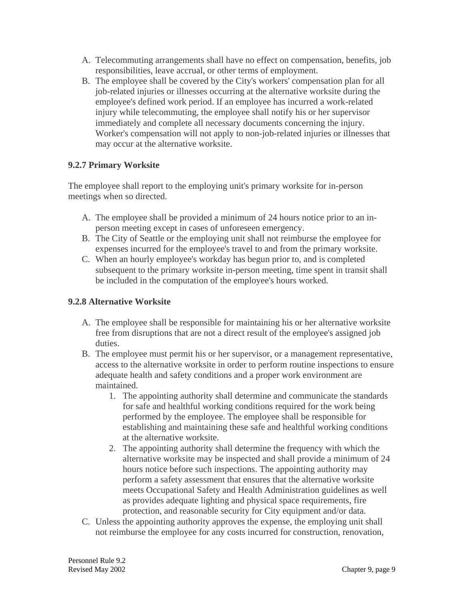- A. Telecommuting arrangements shall have no effect on compensation, benefits, job responsibilities, leave accrual, or other terms of employment.
- B. The employee shall be covered by the City's workers' compensation plan for all job-related injuries or illnesses occurring at the alternative worksite during the employee's defined work period. If an employee has incurred a work-related injury while telecommuting, the employee shall notify his or her supervisor immediately and complete all necessary documents concerning the injury. Worker's compensation will not apply to non-job-related injuries or illnesses that may occur at the alternative worksite.

### **9.2.7 Primary Worksite**

The employee shall report to the employing unit's primary worksite for in-person meetings when so directed.

- A. The employee shall be provided a minimum of 24 hours notice prior to an inperson meeting except in cases of unforeseen emergency.
- B. The City of Seattle or the employing unit shall not reimburse the employee for expenses incurred for the employee's travel to and from the primary worksite.
- C. When an hourly employee's workday has begun prior to, and is completed subsequent to the primary worksite in-person meeting, time spent in transit shall be included in the computation of the employee's hours worked.

### **9.2.8 Alternative Worksite**

- A. The employee shall be responsible for maintaining his or her alternative worksite free from disruptions that are not a direct result of the employee's assigned job duties.
- B. The employee must permit his or her supervisor, or a management representative, access to the alternative worksite in order to perform routine inspections to ensure adequate health and safety conditions and a proper work environment are maintained.
	- 1. The appointing authority shall determine and communicate the standards for safe and healthful working conditions required for the work being performed by the employee. The employee shall be responsible for establishing and maintaining these safe and healthful working conditions at the alternative worksite.
	- 2. The appointing authority shall determine the frequency with which the alternative worksite may be inspected and shall provide a minimum of 24 hours notice before such inspections. The appointing authority may perform a safety assessment that ensures that the alternative worksite meets Occupational Safety and Health Administration guidelines as well as provides adequate lighting and physical space requirements, fire protection, and reasonable security for City equipment and/or data.
- C. Unless the appointing authority approves the expense, the employing unit shall not reimburse the employee for any costs incurred for construction, renovation,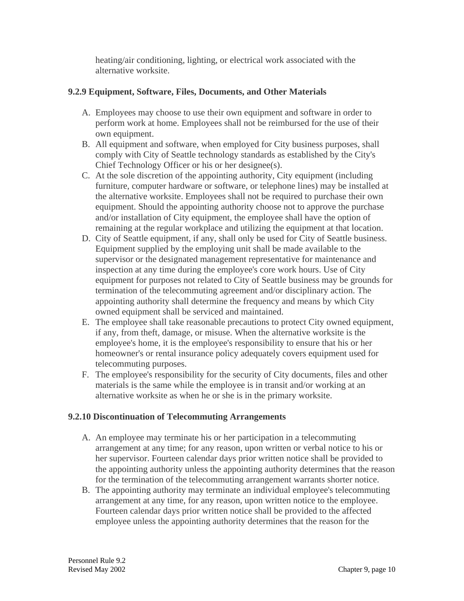heating/air conditioning, lighting, or electrical work associated with the alternative worksite.

## **9.2.9 Equipment, Software, Files, Documents, and Other Materials**

- A. Employees may choose to use their own equipment and software in order to perform work at home. Employees shall not be reimbursed for the use of their own equipment.
- B. All equipment and software, when employed for City business purposes, shall comply with City of Seattle technology standards as established by the City's Chief Technology Officer or his or her designee(s).
- C. At the sole discretion of the appointing authority, City equipment (including furniture, computer hardware or software, or telephone lines) may be installed at the alternative worksite. Employees shall not be required to purchase their own equipment. Should the appointing authority choose not to approve the purchase and/or installation of City equipment, the employee shall have the option of remaining at the regular workplace and utilizing the equipment at that location.
- D. City of Seattle equipment, if any, shall only be used for City of Seattle business. Equipment supplied by the employing unit shall be made available to the supervisor or the designated management representative for maintenance and inspection at any time during the employee's core work hours. Use of City equipment for purposes not related to City of Seattle business may be grounds for termination of the telecommuting agreement and/or disciplinary action. The appointing authority shall determine the frequency and means by which City owned equipment shall be serviced and maintained.
- E. The employee shall take reasonable precautions to protect City owned equipment, if any, from theft, damage, or misuse. When the alternative worksite is the employee's home, it is the employee's responsibility to ensure that his or her homeowner's or rental insurance policy adequately covers equipment used for telecommuting purposes.
- F. The employee's responsibility for the security of City documents, files and other materials is the same while the employee is in transit and/or working at an alternative worksite as when he or she is in the primary worksite.

# **9.2.10 Discontinuation of Telecommuting Arrangements**

- A. An employee may terminate his or her participation in a telecommuting arrangement at any time; for any reason, upon written or verbal notice to his or her supervisor. Fourteen calendar days prior written notice shall be provided to the appointing authority unless the appointing authority determines that the reason for the termination of the telecommuting arrangement warrants shorter notice.
- B. The appointing authority may terminate an individual employee's telecommuting arrangement at any time, for any reason, upon written notice to the employee. Fourteen calendar days prior written notice shall be provided to the affected employee unless the appointing authority determines that the reason for the